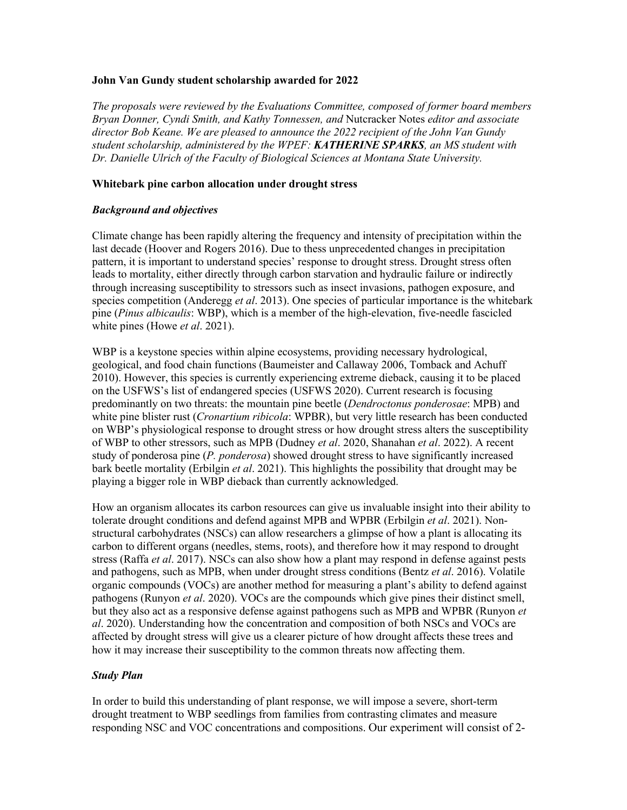#### **John Van Gundy student scholarship awarded for 2022**

*The proposals were reviewed by the Evaluations Committee, composed of former board members Bryan Donner, Cyndi Smith, and Kathy Tonnessen, and* Nutcracker Notes *editor and associate director Bob Keane. We are pleased to announce the 2022 recipient of the John Van Gundy student scholarship, administered by the WPEF: KATHERINE SPARKS, an MS student with Dr. Danielle Ulrich of the Faculty of Biological Sciences at Montana State University.* 

### **Whitebark pine carbon allocation under drought stress**

#### *Background and objectives*

Climate change has been rapidly altering the frequency and intensity of precipitation within the last decade (Hoover and Rogers 2016). Due to thess unprecedented changes in precipitation pattern, it is important to understand species' response to drought stress. Drought stress often leads to mortality, either directly through carbon starvation and hydraulic failure or indirectly through increasing susceptibility to stressors such as insect invasions, pathogen exposure, and species competition (Anderegg *et al*. 2013). One species of particular importance is the whitebark pine (*Pinus albicaulis*: WBP), which is a member of the high-elevation, five-needle fascicled white pines (Howe *et al*. 2021).

WBP is a keystone species within alpine ecosystems, providing necessary hydrological, geological, and food chain functions (Baumeister and Callaway 2006, Tomback and Achuff 2010). However, this species is currently experiencing extreme dieback, causing it to be placed on the USFWS's list of endangered species (USFWS 2020). Current research is focusing predominantly on two threats: the mountain pine beetle (*Dendroctonus ponderosae*: MPB) and white pine blister rust (*Cronartium ribicola*: WPBR), but very little research has been conducted on WBP's physiological response to drought stress or how drought stress alters the susceptibility of WBP to other stressors, such as MPB (Dudney *et al*. 2020, Shanahan *et al*. 2022). A recent study of ponderosa pine (*P. ponderosa*) showed drought stress to have significantly increased bark beetle mortality (Erbilgin *et al*. 2021). This highlights the possibility that drought may be playing a bigger role in WBP dieback than currently acknowledged.

How an organism allocates its carbon resources can give us invaluable insight into their ability to tolerate drought conditions and defend against MPB and WPBR (Erbilgin *et al*. 2021). Nonstructural carbohydrates (NSCs) can allow researchers a glimpse of how a plant is allocating its carbon to different organs (needles, stems, roots), and therefore how it may respond to drought stress (Raffa *et al*. 2017). NSCs can also show how a plant may respond in defense against pests and pathogens, such as MPB, when under drought stress conditions (Bentz *et al*. 2016). Volatile organic compounds (VOCs) are another method for measuring a plant's ability to defend against pathogens (Runyon *et al*. 2020). VOCs are the compounds which give pines their distinct smell, but they also act as a responsive defense against pathogens such as MPB and WPBR (Runyon *et al*. 2020). Understanding how the concentration and composition of both NSCs and VOCs are affected by drought stress will give us a clearer picture of how drought affects these trees and how it may increase their susceptibility to the common threats now affecting them.

### *Study Plan*

In order to build this understanding of plant response, we will impose a severe, short-term drought treatment to WBP seedlings from families from contrasting climates and measure responding NSC and VOC concentrations and compositions. Our experiment will consist of 2-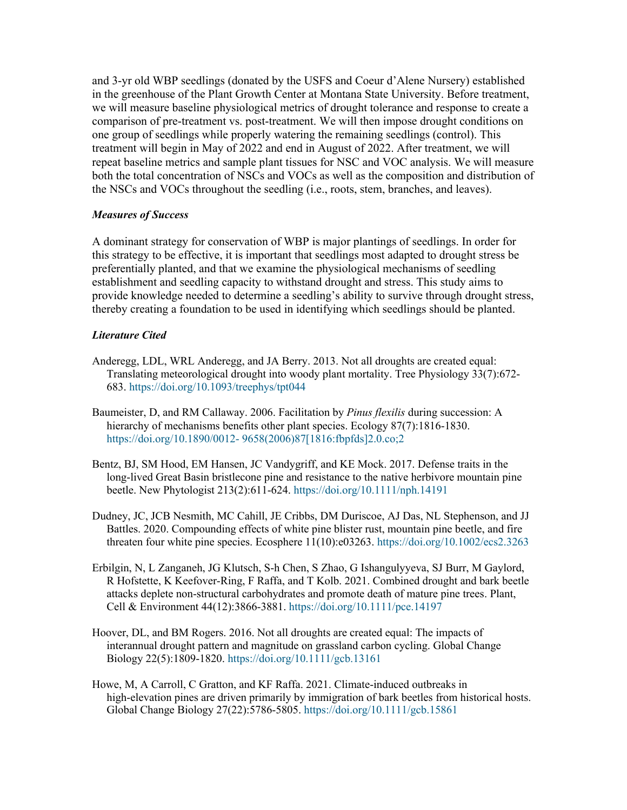and 3-yr old WBP seedlings (donated by the USFS and Coeur d'Alene Nursery) established in the greenhouse of the Plant Growth Center at Montana State University. Before treatment, we will measure baseline physiological metrics of drought tolerance and response to create a comparison of pre-treatment vs. post-treatment. We will then impose drought conditions on one group of seedlings while properly watering the remaining seedlings (control). This treatment will begin in May of 2022 and end in August of 2022. After treatment, we will repeat baseline metrics and sample plant tissues for NSC and VOC analysis. We will measure both the total concentration of NSCs and VOCs as well as the composition and distribution of the NSCs and VOCs throughout the seedling (i.e., roots, stem, branches, and leaves).

## *Measures of Success*

A dominant strategy for conservation of WBP is major plantings of seedlings. In order for this strategy to be effective, it is important that seedlings most adapted to drought stress be preferentially planted, and that we examine the physiological mechanisms of seedling establishment and seedling capacity to withstand drought and stress. This study aims to provide knowledge needed to determine a seedling's ability to survive through drought stress, thereby creating a foundation to be used in identifying which seedlings should be planted.

# *Literature Cited*

- Anderegg, LDL, WRL Anderegg, and JA Berry. 2013. Not all droughts are created equal: Translating meteorological drought into woody plant mortality. Tree Physiology 33(7):672- 683. https://doi.org/10.1093/treephys/tpt044
- Baumeister, D, and RM Callaway. 2006. Facilitation by *Pinus flexilis* during succession: A hierarchy of mechanisms benefits other plant species. Ecology 87(7):1816-1830. https://doi.org/10.1890/0012- 9658(2006)87[1816:fbpfds]2.0.co;2
- Bentz, BJ, SM Hood, EM Hansen, JC Vandygriff, and KE Mock. 2017. Defense traits in the long‐lived Great Basin bristlecone pine and resistance to the native herbivore mountain pine beetle. New Phytologist 213(2):611-624. https://doi.org/10.1111/nph.14191
- Dudney, JC, JCB Nesmith, MC Cahill, JE Cribbs, DM Duriscoe, AJ Das, NL Stephenson, and JJ Battles. 2020. Compounding effects of white pine blister rust, mountain pine beetle, and fire threaten four white pine species. Ecosphere 11(10):e03263. https://doi.org/10.1002/ecs2.3263
- Erbilgin, N, L Zanganeh, JG Klutsch, S-h Chen, S Zhao, G Ishangulyyeva, SJ Burr, M Gaylord, R Hofstette, K Keefover-Ring, F Raffa, and T Kolb. 2021. Combined drought and bark beetle attacks deplete non‐structural carbohydrates and promote death of mature pine trees. Plant, Cell & Environment 44(12):3866-3881. https://doi.org/10.1111/pce.14197
- Hoover, DL, and BM Rogers. 2016. Not all droughts are created equal: The impacts of interannual drought pattern and magnitude on grassland carbon cycling. Global Change Biology 22(5):1809-1820. https://doi.org/10.1111/gcb.13161
- Howe, M, A Carroll, C Gratton, and KF Raffa. 2021. Climate-induced outbreaks in high-elevation pines are driven primarily by immigration of bark beetles from historical hosts. Global Change Biology 27(22):5786-5805. https://doi.org/10.1111/gcb.15861